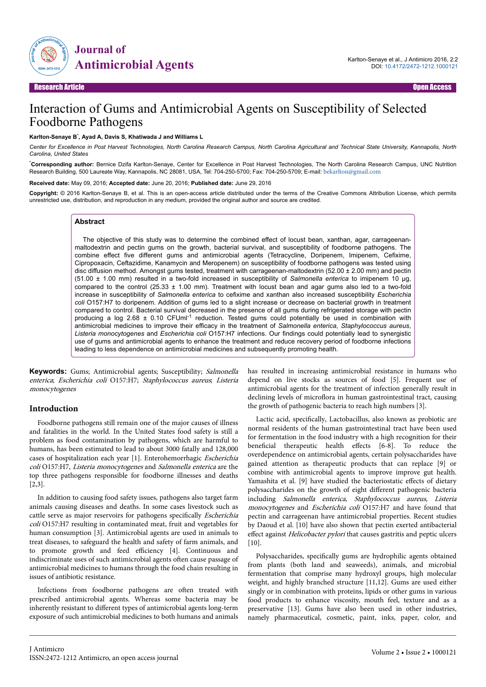

# Interaction of Gums and Antimicrobial Agents on Susceptibility of Selected Foodborne Pathogens

#### **Karlton-Senaye B**\* **, Ayad A, Davis S, Khatiwada J and Williams L**

*Center for Excellence in Post Harvest Technologies, North Carolina Research Campus, North Carolina Agricultural and Technical State University, Kannapolis, North Carolina, United States*

\***Corresponding author:** Bernice Dzifa Karlton-Senaye, Center for Excellence in Post Harvest Technologies, The North Carolina Research Campus, UNC Nutrition Research Building, 500 Laureate Way, Kannapolis, NC 28081, USA, Tel: 704-250-5700; Fax: 704-250-5709; E-mail: [bekarlton@gmail.com](mailto:bekarlton@gmail.com)

#### **Received date:** May 09, 2016; **Accepted date:** June 20, 2016; **Published date:** June 29, 2016

**Copyright:** © 2016 Karlton-Senaye B, et al. This is an open-access article distributed under the terms of the Creative Commons Attribution License, which permits unrestricted use, distribution, and reproduction in any medium, provided the original author and source are credited.

#### **Abstract**

The objective of this study was to determine the combined effect of locust bean, xanthan, agar, carrageenanmaltodextrin and pectin gums on the growth, bacterial survival, and susceptibility of foodborne pathogens. The combine effect five different gums and antimicrobial agents (Tetracycline, Doripenem, Imipenem, Cefixime, Cipropoxacin, Ceftazidime, Kanamycin and Meropenem) on susceptibility of foodborne pathogens was tested using disc diffusion method. Amongst gums tested, treatment with carrageenan-maltodextrin (52.00 ± 2.00 mm) and pectin (51.00 ± 1.00 mm) resulted in a two-fold increased in susceptibility of *Salmonella enterica* to imipenem 10 µg, compared to the control (25.33  $\pm$  1.00 mm). Treatment with locust bean and agar gums also led to a two-fold increase in susceptibility of *Salmonella enterica* to cefixime and xanthan also increased susceptibility *Escherichia coli* O157:H7 to doripenem. Addition of gums led to a slight increase or decrease on bacterial growth in treatment compared to control. Bacterial survival decreased in the presence of all gums during refrigerated storage with pectin producing a log 2.68  $\pm$  0.10 CFUml<sup>-1</sup> reduction. Tested gums could potentially be used in combination with antimicrobial medicines to improve their efficacy in the treatment of *Salmonella enterica*, *Staphylococcus aureus*, *Listeria monocytogenes* and *Escherichia coli* O157:H7 infections. Our findings could potentially lead to synergistic use of gums and antimicrobial agents to enhance the treatment and reduce recovery period of foodborne infections leading to less dependence on antimicrobial medicines and subsequently promoting health.

**Keywords:** Gums; Antimicrobial agents; Susceptibility; Salmonella enterica; Escherichia coli O157:H7; Staphylococcus aureus; Listeria monocytogenes

#### **Introduction**

Foodborne pathogens still remain one of the major causes of illness and fatalities in the world. In the United States food safety is still a problem as food contamination by pathogens, which are harmful to humans, has been estimated to lead to about 3000 fatally and 128,000 cases of hospitalization each year [1]. Enterohemorrhagic Escherichia coli O157:H7, Listeria monocytogenes and Salmonella enterica are the top three pathogens responsible for foodborne illnesses and deaths [2,3].

In addition to causing food safety issues, pathogens also target farm animals causing diseases and deaths. In some cases livestock such as cattle serve as major reservoirs for pathogens specifically *Escherichia* coli O157:H7 resulting in contaminated meat, fruit and vegetables for human consumption [3]. Antimicrobial agents are used in animals to treat diseases, to safeguard the health and safety of farm animals, and to promote growth and feed efficiency [4]. Continuous and indiscriminate uses of such antimicrobial agents often cause passage of antimicrobial medicines to humans through the food chain resulting in issues of antibiotic resistance.

Infections from foodborne pathogens are often treated with prescribed antimicrobial agents. Whereas some bacteria may be inherently resistant to different types of antimicrobial agents long-term exposure of such antimicrobial medicines to both humans and animals has resulted in increasing antimicrobial resistance in humans who depend on live stocks as sources of food [5]. Frequent use of antimicrobial agents for the treatment of infection generally result in declining levels of microflora in human gastrointestinal tract, causing the growth of pathogenic bacteria to reach high numbers [3].

Lactic acid, specifically, Lactobacillus, also known as probiotic are normal residents of the human gastrointestinal tract have been used for fermentation in the food industry with a high recognition for their beneficial therapeutic health effects [6-8]. To reduce the overdependence on antimicrobial agents, certain polysaccharides have gained attention as therapeutic products that can replace [9] or combine with antimicrobial agents to improve improve gut health. Yamashita et al. [9] have studied the bacteriostatic effects of dietary polysaccharides on the growth of eight different pathogenic bacteria including Salmonella enterica, Staphylococcus aureus, Listeria monocytogenes and Escherichia coli O157:H7 and have found that pectin and carrageenan have antimicrobial properties. Recent studies by Daoud et al. [10] have also shown that pectin exerted antibacterial effect against Helicobacter pylori that causes gastritis and peptic ulcers [10].

Polysaccharides, specifically gums are hydrophilic agents obtained from plants (both land and seaweeds), animals, and microbial fermentation that comprise many hydroxyl groups, high molecular weight, and highly branched structure [11,12]. Gums are used either singly or in combination with proteins, lipids or other gums in various food products to enhance viscosity, mouth feel, texture and as a preservative [13]. Gums have also been used in other industries, namely pharmaceutical, cosmetic, paint, inks, paper, color, and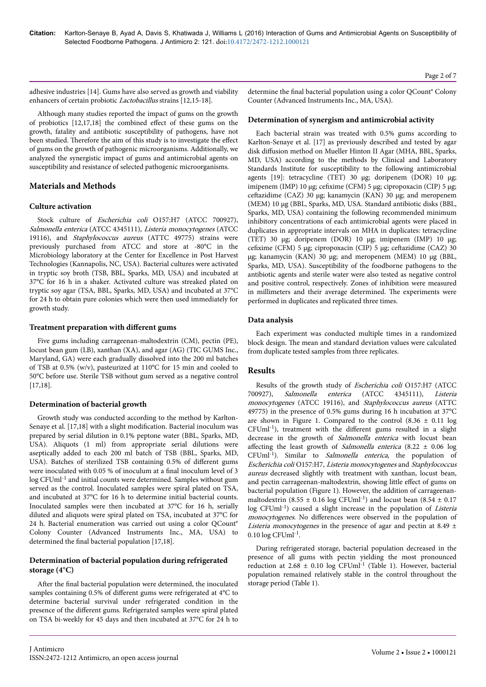adhesive industries [14]. Gums have also served as growth and viability enhancers of certain probiotic Lactobacillus strains [12,15-18].

Although many studies reported the impact of gums on the growth of probiotics  $[12,17,18]$  the combined effect of these gums on the growth, fatality and antibiotic susceptibility of pathogens, have not been studied. Therefore the aim of this study is to investigate the effect of gums on the growth of pathogenic microorganisms. Additionally, we analyzed the synergistic impact of gums and antimicrobial agents on susceptibility and resistance of selected pathogenic microorganisms.

## **Materials and Methods**

#### **Culture activation**

Stock culture of Escherichia coli O157:H7 (ATCC 700927), Salmonella enterica (ATCC 4345111), Listeria monocytogenes (ATCC 19116), and Staphylococcus aureus (ATTC 49775) strains were previously purchased from ATCC and store at -80°C in the Microbiology laboratory at the Center for Excellence in Post Harvest Technologies (Kannapolis, NC, USA). Bacterial cultures were activated in tryptic soy broth (TSB, BBL, Sparks, MD, USA) and incubated at 37°C for 16 h in a shaker. Activated culture was streaked plated on tryptic soy agar (TSA, BBL, Sparks, MD, USA) and incubated at 37°C for 24 h to obtain pure colonies which were then used immediately for growth study.

#### **Treatment preparation with different gums**

Five gums including carrageenan-maltodextrin (CM), pectin (PE), locust bean gum (LB), xanthan (XA), and agar (AG) (TIC GUMS Inc., Maryland, GA) were each gradually dissolved into the 200 ml batches of TSB at 0.5% (w/v), pasteurized at 110°C for 15 min and cooled to 50°C before use. Sterile TSB without gum served as a negative control [17,18].

#### **Determination of bacterial growth**

Growth study was conducted according to the method by Karlton-Senaye et al. [17,18] with a slight modification. Bacterial inoculum was prepared by serial dilution in 0.1% peptone water (BBL, Sparks, MD, USA). Aliquots (1 ml) from appropriate serial dilutions were aseptically added to each 200 ml batch of TSB (BBL, Sparks, MD, USA). Batches of sterilized TSB containing 0.5% of different gums were inoculated with 0.05 % of inoculum at a final inoculum level of 3 log CFUml<sup>-1</sup> and initial counts were determined. Samples without gum served as the control. Inoculated samples were spiral plated on TSA, and incubated at 37°C for 16 h to determine initial bacterial counts. Inoculated samples were then incubated at 37°C for 16 h, serially diluted and aliquots were spiral plated on TSA, incubated at 37°C for 24 h. Bacterial enumeration was carried out using a color QCount® Colony Counter (Advanced Instruments Inc., MA, USA) to determined the final bacterial population [17,18].

#### **Determination of bacterial population during refrigerated storage (4°C)**

After the final bacterial population were determined, the inoculated samples containing 0.5% of different gums were refrigerated at 4°C to determine bacterial survival under refrigerated condition in the presence of the different gums. Refrigerated samples were spiral plated on TSA bi-weekly for 45 days and then incubated at 37°C for 24 h to

#### **Determination of synergism and antimicrobial activity**

Each bacterial strain was treated with 0.5% gums according to Karlton-Senaye et al. [17] as previously described and tested by agar disk diffusion method on Mueller Hinton II Agar (MHA, BBL, Sparks, MD, USA) according to the methods by Clinical and Laboratory Standards Institute for susceptibility to the following antimicrobial agents [19]: tetracycline (TET) 30 µg; doripenem (DOR) 10 µg; imipenem (IMP) 10 μg; cefixime (CFM) 5 μg; cipropoxacin (CIP) 5 μg; ceftazidime (CAZ) 30 μg; kanamycin (KAN) 30 μg; and meropenem (MEM) 10 µg (BBL, Sparks, MD, USA. Standard antibiotic disks (BBL, Sparks, MD, USA) containing the following recommended minimum inhibitory concentrations of each antimicrobial agents were placed in duplicates in appropriate intervals on MHA in duplicates: tetracycline (TET) 30 µg; doripenem (DOR) 10 µg; imipenem (IMP) 10 µg; cefixime (CFM) 5 μg; cipropoxacin (CIP) 5 μg; ceftazidime (CAZ) 30 µg; kanamycin (KAN) 30 µg; and meropenem (MEM) 10 µg (BBL, Sparks, MD, USA). Susceptibility of the foodborne pathogens to the antibiotic agents and sterile water were also tested as negative control and positive control, respectively. Zones of inhibition were measured in millimeters and their average determined. Нe experiments were performed in duplicates and replicated three times.

#### **Data analysis**

Each experiment was conducted multiple times in a randomized block design. Нe mean and standard deviation values were calculated from duplicate tested samples from three replicates.

#### **Results**

Results of the growth study of Escherichia coli O157:H7 (ATCC 700927), Salmonella enterica (ATCC 4345111), Listeria monocytogenes (ATCC 19116), and Staphylococcus aureus (ATTC 49775) in the presence of 0.5% gums during 16 h incubation at 37°C are shown in Figure 1. Compared to the control  $(8.36 \pm 0.11)$  log  $CFUml^{-1}$ ), treatment with the different gums resulted in a slight decrease in the growth of Salmonella enterica with locust bean affecting the least growth of *Salmonella enterica* (8.22  $\pm$  0.06 log  $CFUml<sup>-1</sup>$ ). Similar to *Salmonella enterica*, the population of Escherichia coli O157:H7, Listeria monocytogenes and Staphylococcus aureus decreased slightly with treatment with xanthan, locust bean, and pectin carrageenan-maltodextrin, showing little effect of gums on bacterial population (Figure 1). However, the addition of carrageenanmaltodextrin (8.55  $\pm$  0.16 log CFUml<sup>-1</sup>) and locust bean (8.54  $\pm$  0.17 log CFUml<sup>-1</sup>) caused a slight increase in the population of *Listeria* monocytogenes. No differences were observed in the population of Listeria monocytogenes in the presence of agar and pectin at 8.49  $\pm$  $0.10 \log CF$ Uml<sup>-1</sup>.

During refrigerated storage, bacterial population decreased in the presence of all gums with pectin yielding the most pronounced reduction at  $2.68 \pm 0.10$  log CFUml<sup>-1</sup> (Table 1). However, bacterial population remained relatively stable in the control throughout the storage period (Table 1).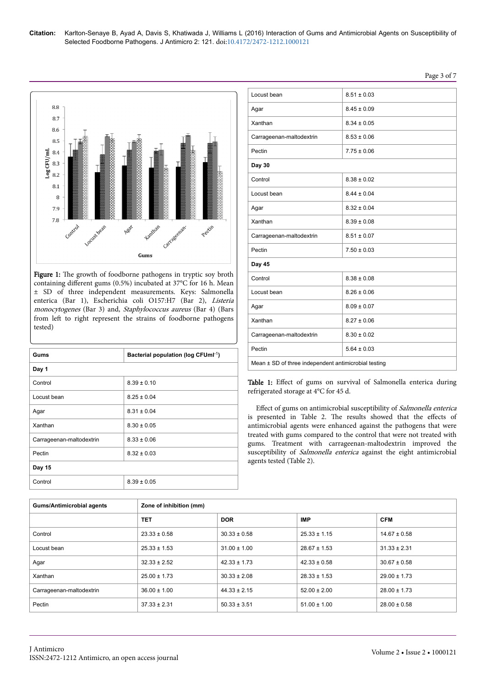

Figure 1: The growth of foodborne pathogens in tryptic soy broth containing different gums (0.5%) incubated at 37°C for 16 h. Mean ± SD of three independent measurements. Keys: Salmonella enterica (Bar 1), Escherichia coli O157:H7 (Bar 2), Listeria monocytogenes (Bar 3) and, Staphylococcus aureus (Bar 4) (Bars from left to right represent the strains of foodborne pathogens tested)

| Gums                     | Bacterial population (log CFUml <sup>-1</sup> ) |
|--------------------------|-------------------------------------------------|
| Day 1                    |                                                 |
| Control                  | $8.39 \pm 0.10$                                 |
| Locust bean              | $8.25 \pm 0.04$                                 |
| Agar                     | $8.31 \pm 0.04$                                 |
| Xanthan                  | $8.30 \pm 0.05$                                 |
| Carrageenan-maltodextrin | $8.33 \pm 0.06$                                 |
| Pectin                   | $8.32 \pm 0.03$                                 |
| Day 15                   |                                                 |
| Control                  | $8.39 \pm 0.05$                                 |

| Locust bean                                          | $8.51 \pm 0.03$ |  |  |  |
|------------------------------------------------------|-----------------|--|--|--|
| Agar                                                 | $8.45 \pm 0.09$ |  |  |  |
| Xanthan                                              | $8.34 \pm 0.05$ |  |  |  |
| Carrageenan-maltodextrin                             | $8.53 \pm 0.06$ |  |  |  |
| Pectin                                               | $7.75 \pm 0.06$ |  |  |  |
| Day 30                                               |                 |  |  |  |
| Control                                              | $8.38 \pm 0.02$ |  |  |  |
| Locust bean                                          | $8.44 \pm 0.04$ |  |  |  |
| Agar                                                 | $8.32 \pm 0.04$ |  |  |  |
| Xanthan                                              | $8.39 \pm 0.08$ |  |  |  |
| Carrageenan-maltodextrin                             | $8.51 \pm 0.07$ |  |  |  |
| Pectin                                               | $7.50 \pm 0.03$ |  |  |  |
| Day 45                                               |                 |  |  |  |
| Control                                              | $8.38 \pm 0.08$ |  |  |  |
| Locust bean                                          | $8.26 \pm 0.06$ |  |  |  |
| Agar                                                 | $8.09 \pm 0.07$ |  |  |  |
| Xanthan                                              | $8.27 \pm 0.06$ |  |  |  |
| Carrageenan-maltodextrin                             | $8.30 \pm 0.02$ |  |  |  |
| Pectin                                               | $5.64 \pm 0.03$ |  |  |  |
| Mean ± SD of three independent antimicrobial testing |                 |  |  |  |

Table 1: Effect of gums on survival of Salmonella enterica during refrigerated storage at 4°C for 45 d.

Effect of gums on antimicrobial susceptibility of Salmonella enterica is presented in Table 2. The results showed that the effects of antimicrobial agents were enhanced against the pathogens that were treated with gums compared to the control that were not treated with gums. Treatment with carrageenan-maltodextrin improved the susceptibility of Salmonella enterica against the eight antimicrobial agents tested (Table 2).

| <b>Gums/Antimicrobial agents</b> | Zone of inhibition (mm) |                          |                  |                  |  |
|----------------------------------|-------------------------|--------------------------|------------------|------------------|--|
|                                  | <b>TET</b>              | <b>IMP</b><br><b>DOR</b> |                  | <b>CFM</b>       |  |
| Control                          | $23.33 \pm 0.58$        | $30.33 \pm 0.58$         | $25.33 \pm 1.15$ | $14.67 \pm 0.58$ |  |
| Locust bean                      | $25.33 \pm 1.53$        | $31.00 \pm 1.00$         | $28.67 \pm 1.53$ | $31.33 \pm 2.31$ |  |
| Agar                             | $32.33 \pm 2.52$        | $42.33 \pm 1.73$         | $42.33 \pm 0.58$ | $30.67 \pm 0.58$ |  |
| Xanthan                          | $25.00 \pm 1.73$        | $30.33 \pm 2.08$         | $28.33 \pm 1.53$ | $29.00 \pm 1.73$ |  |
| Carrageenan-maltodextrin         | $36.00 \pm 1.00$        | $44.33 \pm 2.15$         | $52.00 \pm 2.00$ | $28.00 \pm 1.73$ |  |
| Pectin                           | $37.33 \pm 2.31$        | $50.33 \pm 3.51$         | $51.00 \pm 1.00$ | $28.00 \pm 0.58$ |  |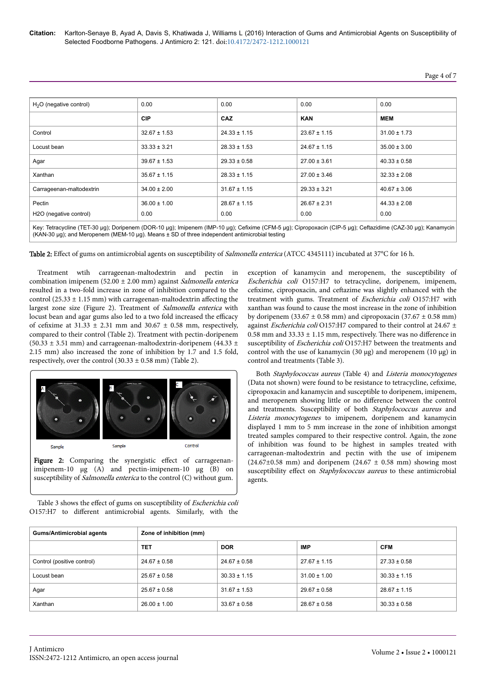| $H2O$ (negative control) | 0.00             | 0.00             | 0.00             | 0.00             |  |
|--------------------------|------------------|------------------|------------------|------------------|--|
|                          | <b>CIP</b>       | CAZ              | <b>KAN</b>       | <b>MEM</b>       |  |
| Control                  | $32.67 \pm 1.53$ | $24.33 \pm 1.15$ | $23.67 \pm 1.15$ | $31.00 \pm 1.73$ |  |
| Locust bean              | $33.33 \pm 3.21$ | $28.33 \pm 1.53$ | $24.67 \pm 1.15$ | $35.00 \pm 3.00$ |  |
| Agar                     | $39.67 \pm 1.53$ | $29.33 \pm 0.58$ | $27.00 \pm 3.61$ | $40.33 \pm 0.58$ |  |
| Xanthan                  | $35.67 \pm 1.15$ | $28.33 \pm 1.15$ | $27.00 \pm 3.46$ | $32.33 \pm 2.08$ |  |
| Carrageenan-maltodextrin | $34.00 \pm 2.00$ | $31.67 \pm 1.15$ | $29.33 \pm 3.21$ | $40.67 \pm 3.06$ |  |
| Pectin                   | $36.00 \pm 1.00$ | $28.67 \pm 1.15$ | $26.67 \pm 2.31$ | $44.33 \pm 2.08$ |  |
| H2O (negative control)   | 0.00             | 0.00             | 0.00             | 0.00             |  |
|                          |                  |                  |                  |                  |  |

Key: Tetracycline (TET-30 µg); Doripenem (DOR-10 µg); Imipenem (IMP-10 µg); Cefixime (CFM-5 µg); Cipropoxacin (CIP-5 µg); Ceftazidime (CAZ-30 µg); Kanamycin (KAN-30 µg); and Meropenem (MEM-10 µg). Means ± SD of three independent antimicrobial testing

Table 2: Effect of gums on antimicrobial agents on susceptibility of Salmonella enterica (ATCC 4345111) incubated at 37°C for 16 h.

Treatment wtih carrageenan-maltodextrin and pectin in combination imipenem (52.00  $\pm$  2.00 mm) against *Salmonella enterica* resulted in a two-fold increase in zone of inhibition compared to the control (25.33  $\pm$  1.15 mm) with carrageenan-maltodextrin affecting the largest zone size (Figure 2). Treatment of Salmonella enterica with locust bean and agar gums also led to a two fold increased the efficacy of cefixime at  $31.33 \pm 2.31$  mm and  $30.67 \pm 0.58$  mm, respectively, compared to their control (Table 2). Treatment with pectin-doripenem (50.33  $\pm$  3.51 mm) and carrageenan-maltodextrin-doripenem (44.33  $\pm$ 2.15 mm) also increased the zone of inhibition by 1.7 and 1.5 fold, respectively, over the control  $(30.33 \pm 0.58 \text{ mm})$  (Table 2).



- Figure 2: Comparing the synergistic effect of carrageenanimipenem-10 μg (A) and pectin-imipenem-10 μg (B) on susceptibility of *Salmonella enterica* to the control (C) without gum.
- Table 3 shows the effect of gums on susceptibility of Escherichia coli O157:H7 to different antimicrobial agents. Similarly, with the

exception of kanamycin and meropenem, the susceptibility of Escherichia coli O157:H7 to tetracycline, doripenem, imipenem, cefixime, cipropoxacin, and ceftazime was slightly enhanced with the treatment with gums. Treatment of Escherichia coli O157:H7 with xanthan was found to cause the most increase in the zone of inhibition by doripenem (33.67  $\pm$  0.58 mm) and cipropoxacin (37.67  $\pm$  0.58 mm) against Escherichia coli O157:H7 compared to their control at 24.67 ±  $0.58$  mm and  $33.33 \pm 1.15$  mm, respectively. There was no difference in susceptibility of Escherichia coli O157:H7 between the treatments and control with the use of kanamycin (30  $\mu$ g) and meropenem (10  $\mu$ g) in control and treatments (Table 3).

Both Staphylococcus aureus (Table 4) and Listeria monocytogenes (Data not shown) were found to be resistance to tetracycline, cefixime, cipropoxacin and kanamycin and susceptible to doripenem, imipenem, and meropenem showing little or no difference between the control and treatments. Susceptibility of both Staphylococcus aureus and Listeria monocytogenes to imipenem, doripenem and kanamycin displayed 1 mm to 5 mm increase in the zone of inhibition amongst treated samples compared to their respective control. Again, the zone of inhibition was found to be highest in samples treated with carrageenan-maltodextrin and pectin with the use of imipenem  $(24.67\pm0.58$  mm) and doripenem  $(24.67 \pm 0.58$  mm) showing most susceptibility effect on Staphylococcus aureus to these antimicrobial agents.

| <b>Gums/Antimicrobial agents</b> | Zone of inhibition (mm)                       |                  |                  |                  |  |  |
|----------------------------------|-----------------------------------------------|------------------|------------------|------------------|--|--|
|                                  | <b>TET</b><br><b>DOR</b><br>IMP<br><b>CFM</b> |                  |                  |                  |  |  |
| Control (positive control)       | $24.67 \pm 0.58$                              | $24.67 \pm 0.58$ | $27.67 \pm 1.15$ | $27.33 \pm 0.58$ |  |  |
| Locust bean                      | $25.67 \pm 0.58$                              | $30.33 \pm 1.15$ | $31.00 \pm 1.00$ | $30.33 \pm 1.15$ |  |  |
| Agar                             | $25.67 \pm 0.58$                              | $31.67 \pm 1.53$ | $29.67 \pm 0.58$ | $28.67 \pm 1.15$ |  |  |
| Xanthan                          | $26.00 \pm 1.00$                              | $33.67 \pm 0.58$ | $28.67 \pm 0.58$ | $30.33 \pm 0.58$ |  |  |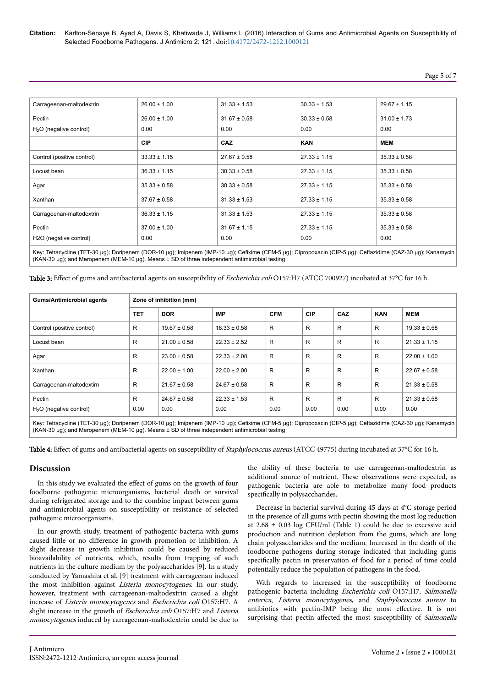| Page | C. | ΩT |  |
|------|----|----|--|
|      |    |    |  |

| Carrageenan-maltodextrin            | $26.00 \pm 1.00$ | $31.33 \pm 1.53$ | $30.33 \pm 1.53$ | $29.67 \pm 1.15$ |  |
|-------------------------------------|------------------|------------------|------------------|------------------|--|
| Pectin                              | $26.00 \pm 1.00$ | $31.67 \pm 0.58$ | $30.33 \pm 0.58$ | $31.00 \pm 1.73$ |  |
| $H2O$ (negative control)            | 0.00             | 0.00             | 0.00             | 0.00             |  |
|                                     | <b>CIP</b>       | <b>CAZ</b>       | <b>KAN</b>       | MEM              |  |
| Control (positive control)          | $33.33 \pm 1.15$ | $27.67 \pm 0.58$ | $27.33 \pm 1.15$ | $35.33 \pm 0.58$ |  |
| Locust bean                         | $36.33 \pm 1.15$ | $30.33 \pm 0.58$ | $27.33 \pm 1.15$ | $35.33 \pm 0.58$ |  |
| Agar                                | $35.33 \pm 0.58$ | $30.33 \pm 0.58$ | $27.33 \pm 1.15$ | $35.33 \pm 0.58$ |  |
| Xanthan                             | $37.67 \pm 0.58$ | $31.33 \pm 1.53$ | $27.33 \pm 1.15$ | $35.33 \pm 0.58$ |  |
| Carrageenan-maltodextrin            | $36.33 \pm 1.15$ | $31.33 \pm 1.53$ | $27.33 \pm 1.15$ | $35.33 \pm 0.58$ |  |
| Pectin                              | $37.00 \pm 1.00$ | $31.67 \pm 1.15$ | $27.33 \pm 1.15$ | $35.33 \pm 0.58$ |  |
| H <sub>2</sub> O (negative control) | 0.00             | 0.00             | 0.00             | 0.00             |  |

Key: Tetracycline (TET-30 µg); Doripenem (DOR-10 µg); Imipenem (IMP-10 µg); Cefixime (CFM-5 µg); Cipropoxacin (CIP-5 µg); Ceftazidime (CAZ-30 µg); Kanamycin (KAN-30 µg); and Meropenem (MEM-10 µg). Means ± SD of three independent antimicrobial testing

Table 3: Effect of gums and antibacterial agents on susceptibility of *Escherichia coli* O157:H7 (ATCC 700927) incubated at 37°C for 16 h.

| <b>Gums/Antimicrobial agents</b>                                                                                                                            |            | Zone of inhibition (mm) |                  |            |            |      |            |                  |
|-------------------------------------------------------------------------------------------------------------------------------------------------------------|------------|-------------------------|------------------|------------|------------|------|------------|------------------|
|                                                                                                                                                             | <b>TET</b> | <b>DOR</b>              | <b>IMP</b>       | <b>CFM</b> | <b>CIP</b> | CAZ  | <b>KAN</b> | <b>MEM</b>       |
| Control (positive control)                                                                                                                                  | R          | $19.67 \pm 0.58$        | $18.33 \pm 0.58$ | R          | R          | R    | R          | $19.33 \pm 0.58$ |
| Locust bean                                                                                                                                                 | R          | $21.00 \pm 0.58$        | $22.33 \pm 2.52$ | R          | R          | R    | R          | $21.33 \pm 1.15$ |
| Agar                                                                                                                                                        | R          | $23.00 \pm 0.58$        | $22.33 \pm 2.08$ | R          | R          | R    | R          | $22.00 \pm 1.00$ |
| Xanthan                                                                                                                                                     | R          | $22.00 \pm 1.00$        | $22.00 \pm 2.00$ | R          | R          | R    | R          | $22.67 \pm 0.58$ |
| Carrageenan-maltodextirn                                                                                                                                    | R          | $21.67 \pm 0.58$        | $24.67 \pm 0.58$ | R          | R          | R    | R          | $21.33 \pm 0.58$ |
| Pectin                                                                                                                                                      | R          | $24.67 \pm 0.58$        | $22.33 \pm 1.53$ | R          | R          | R    | R          | $21.33 \pm 0.58$ |
| $H2O$ (negative control)                                                                                                                                    | 0.00       | 0.00                    | 0.00             | 0.00       | 0.00       | 0.00 | 0.00       | 0.00             |
| Key Tetracycline (TET 30 ug): Derinenem (DOD 10 ug): Iminenem (IMD 10 ug): Cefixime (CEM 5 ug): Cinronovacin (CID 5 ug): Ceftazidime (CAZ 30 ug): Kanamycin |            |                         |                  |            |            |      |            |                  |

Key: Tetracycline (TET-30 µg); Doripenem (DOR-10 µg); Imipenem (IMP-10 µg); Cefixime (CFM-5 µg); Cipropoxacin (CIP-5 µg); Ceftazidime (CAZ-30 µg); Kanamycin (KAN-30 µg); and Meropenem (MEM-10 µg). Means ± SD of three independent antimicrobial testing

Table 4: Effect of gums and antibacterial agents on susceptibility of *Staphylococcus aureus* (ATCC 49775) during incubated at 37°C for 16 h.

#### **Discussion**

In this study we evaluated the effect of gums on the growth of four foodborne pathogenic microorganisms, bacterial death or survival during refrigerated storage and to the combine impact between gums and antimicrobial agents on susceptibility or resistance of selected pathogenic microorganisms.

In our growth study, treatment of pathogenic bacteria with gums caused little or no difference in growth promotion or inhibition. A slight decrease in growth inhibition could be caused by reduced bioavailability of nutrients, which, results from trapping of such nutrients in the culture medium by the polysaccharides [9]. In a study conducted by Yamashita et al. [9] treatment with carrageenan induced the most inhibition against Listeria monocytogenes. In our study, however, treatment with carrageenan-maltodextrin caused a slight increase of Listeria monocytogenes and Escherichia coli O157:H7. A slight increase in the growth of Escherichia coli O157:H7 and Listeria monocytogenes induced by carrageenan-maltodextrin could be due to the ability of these bacteria to use carrageenan-maltodextrin as additional source of nutrient. Нese observations were expected, as pathogenic bacteria are able to metabolize many food products specifically in polysaccharides.

Decrease in bacterial survival during 45 days at 4°C storage period in the presence of all gums with pectin showing the most log reduction at  $2.68 \pm 0.03$  log CFU/ml (Table 1) could be due to excessive acid production and nutrition depletion from the gums, which are long chain polysaccharides and the medium. Increased in the death of the foodborne pathogens during storage indicated that including gums specifically pectin in preservation of food for a period of time could potentially reduce the population of pathogens in the food.

With regards to increased in the susceptibility of foodborne pathogenic bacteria including Escherichia coli O157:H7, Salmonella enterica, Listeria monocytogenes, and Staphylococcus aureus to antibiotics with pectin-IMP being the most effective. It is not surprising that pectin affected the most susceptibility of Salmonella